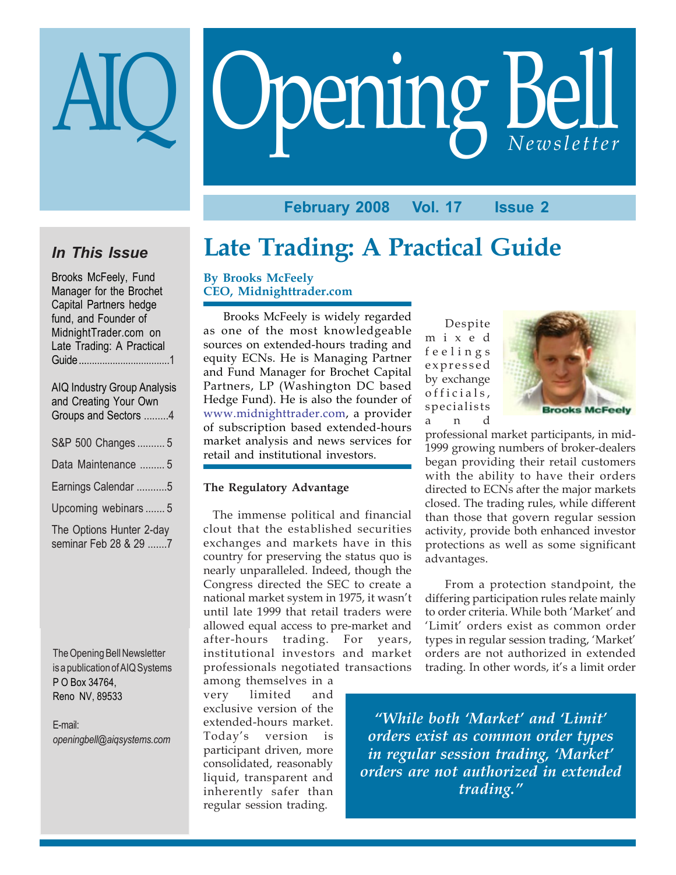## **February 2008 Vol. 17 Issue 2**

Opening Bell AIQ *Newsletter*

## *In This Issue*

Brooks McFeely, Fund Manager for the Brochet Capital Partners hedge fund, and Founder of MidnightTrader.com on Late Trading: A Practical Guide ...................................1

| <b>AIQ Industry Group Analysis</b><br>and Creating Your Own<br>Groups and Sectors 4 |
|-------------------------------------------------------------------------------------|
| S&P 500 Changes  5                                                                  |
| Data Maintenance  5                                                                 |
| Earnings Calendar 5                                                                 |
| Upcoming webinars  5                                                                |
| The Options Hunter 2-day<br>seminar Feb 28 & 29 7                                   |

The Opening Bell Newsletter is a publication of AIQ Systems P O Box 34764, Reno NV, 89533

E-mail: *openingbell@aiqsystems.com*

## **Late Trading: A Practical Guide**

### **By Brooks McFeely CEO, Midnighttrader.com**

Brooks McFeely is widely regarded as one of the most knowledgeable sources on extended-hours trading and equity ECNs. He is Managing Partner and Fund Manager for Brochet Capital Partners, LP (Washington DC based Hedge Fund). He is also the founder of www.midnighttrader.com, a provider of subscription based extended-hours market analysis and news services for retail and institutional investors.

#### **The Regulatory Advantage**

 The immense political and financial clout that the established securities exchanges and markets have in this country for preserving the status quo is nearly unparalleled. Indeed, though the Congress directed the SEC to create a national market system in 1975, it wasn't until late 1999 that retail traders were allowed equal access to pre-market and after-hours trading. For years, institutional investors and market professionals negotiated transactions

among themselves in a very limited and exclusive version of the extended-hours market. Today's version is participant driven, more consolidated, reasonably liquid, transparent and inherently safer than regular session trading.

Despite mixed feelings expressed by exchange officials, specialists and



professional market participants, in mid-1999 growing numbers of broker-dealers began providing their retail customers with the ability to have their orders directed to ECNs after the major markets closed. The trading rules, while different than those that govern regular session activity, provide both enhanced investor protections as well as some significant advantages.

From a protection standpoint, the differing participation rules relate mainly to order criteria. While both 'Market' and 'Limit' orders exist as common order types in regular session trading, 'Market' orders are not authorized in extended trading. In other words, it's a limit order

*"While both 'Market' and 'Limit' orders exist as common order types in regular session trading, 'Market' orders are not authorized in extended trading."*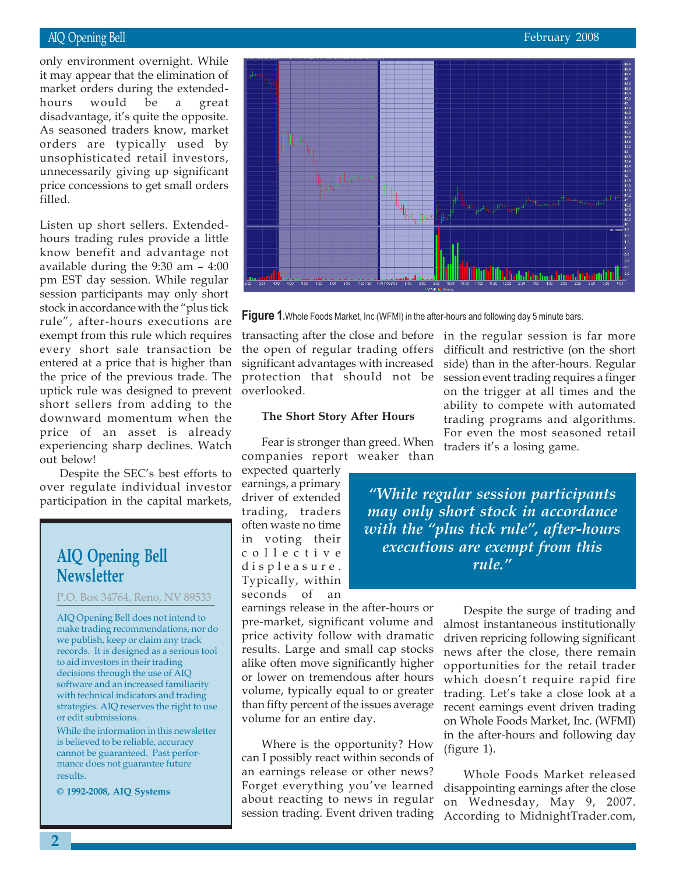hours would be a great<br>disadvantage, it's quite-the-opposite. only environment overnight. While it may appear that the elimination of market orders during the extendedhours would be a great As seasoned traders know, market orders are typically used by unsophisticated retail investors, unnecessarily giving up significant price concessions to get small orders filled.

Listen up short sellers. Extendedhours trading rules provide a little know benefit and advantage not available during the 9:30 am – 4:00 pm EST day session. While regular session participants may only short stock in accordance with the "plus tick rule", after-hours executions are exempt from this rule which requires every short sale transaction be entered at a price that is higher than the price of the previous trade. The uptick rule was designed to prevent short sellers from adding to the downward momentum when the price of an asset is already experiencing sharp declines. Watch out below!

Despite the SEC's best efforts to over regulate individual investor participation in the capital markets,

## **AIQ Opening Bell Newsletter**

P.O. Box 34764, Reno, NV 89533

AIQ Opening Bell does not intend to make trading recommendations, nor do we publish, keep or claim any track records. It is designed as a serious tool to aid investors in their trading decisions through the use of AIQ software and an increased familiarity with technical indicators and trading strategies. AIQ reserves the right to use or edit submissions.

While the information in this newsletter is believed to be reliable, accuracy cannot be guaranteed. Past performance does not guarantee future results.

**© 1992-2008, AIQ Systems**





the open of regular trading offers significant advantages with increased protection that should not be overlooked.

#### **The Short Story After Hours**

Fear is stronger than greed. When companies report weaker than

expected quarterly earnings, a primary driver of extended trading, traders often waste no time in voting their collective displeasure. Typically, within seconds of an

earnings release in the after-hours or pre-market, significant volume and price activity follow with dramatic results. Large and small cap stocks alike often move significantly higher or lower on tremendous after hours volume, typically equal to or greater than fifty percent of the issues average volume for an entire day.

Where is the opportunity? How can I possibly react within seconds of an earnings release or other news? Forget everything you've learned about reacting to news in regular session trading. Event driven trading

transacting after the close and before in the regular session is far more difficult and restrictive (on the short side) than in the after-hours. Regular session event trading requires a finger on the trigger at all times and the ability to compete with automated trading programs and algorithms. For even the most seasoned retail traders it's a losing game.

> *"While regular session participants may only short stock in accordance with the "plus tick rule", after-hours executions are exempt from this rule."*

> > Despite the surge of trading and almost instantaneous institutionally driven repricing following significant news after the close, there remain opportunities for the retail trader which doesn't require rapid fire trading. Let's take a close look at a recent earnings event driven trading on Whole Foods Market, Inc. (WFMI) in the after-hours and following day (figure 1).

> > Whole Foods Market released disappointing earnings after the close on Wednesday, May 9, 2007. According to MidnightTrader.com,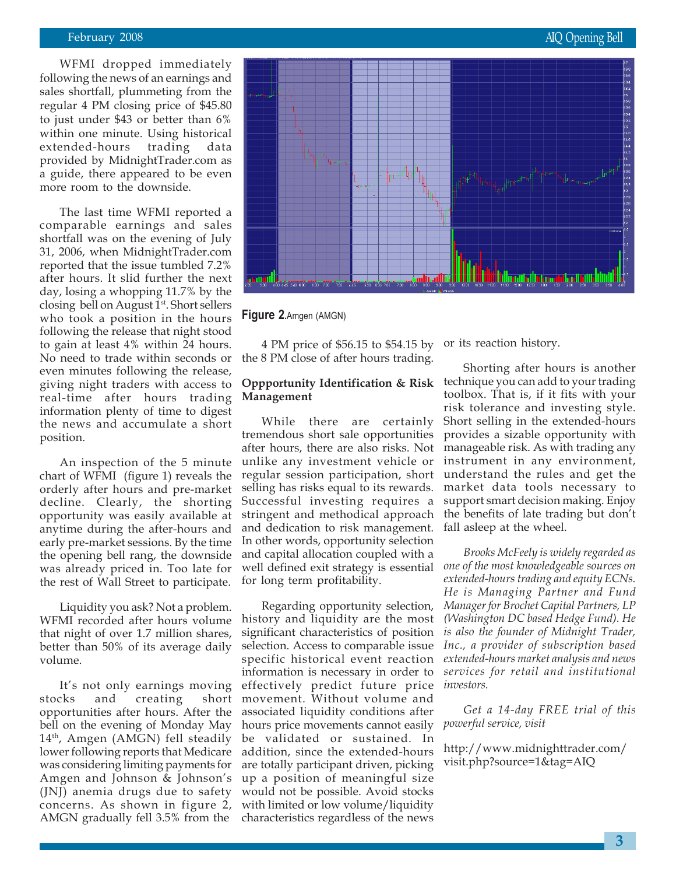WFMI dropped immediately following the news of an earnings and sales shortfall, plummeting from the regular 4 PM closing price of \$45.80 to just under \$43 or better than 6% within one minute. Using historical extended-hours trading data provided by MidnightTrader.com as a guide, there appeared to be even more room to the downside.

The last time WFMI reported a comparable earnings and sales shortfall was on the evening of July 31, 2006, when MidnightTrader.com reported that the issue tumbled 7.2% after hours. It slid further the next day, losing a whopping 11.7% by the closing bell on August 1<sup>st</sup>. Short sellers who took a position in the hours following the release that night stood to gain at least 4% within 24 hours. No need to trade within seconds or even minutes following the release, giving night traders with access to real-time after hours trading information plenty of time to digest the news and accumulate a short position.

An inspection of the 5 minute chart of WFMI (figure 1) reveals the orderly after hours and pre-market decline. Clearly, the shorting opportunity was easily available at anytime during the after-hours and early pre-market sessions. By the time the opening bell rang, the downside was already priced in. Too late for the rest of Wall Street to participate.

Liquidity you ask? Not a problem. WFMI recorded after hours volume that night of over 1.7 million shares, better than 50% of its average daily volume.

It's not only earnings moving stocks and creating short opportunities after hours. After the bell on the evening of Monday May  $14<sup>th</sup>$ , Amgen (AMGN) fell steadily lower following reports that Medicare was considering limiting payments for Amgen and Johnson & Johnson's (JNJ) anemia drugs due to safety concerns. As shown in figure 2, AMGN gradually fell 3.5% from the



**Figure 2.**Amgen (AMGN)

4 PM price of \$56.15 to \$54.15 by or its reaction history. the 8 PM close of after hours trading.

## **Management**

While there are certainly tremendous short sale opportunities after hours, there are also risks. Not unlike any investment vehicle or regular session participation, short selling has risks equal to its rewards. Successful investing requires a stringent and methodical approach and dedication to risk management. In other words, opportunity selection and capital allocation coupled with a well defined exit strategy is essential for long term profitability.

Regarding opportunity selection, history and liquidity are the most significant characteristics of position selection. Access to comparable issue specific historical event reaction information is necessary in order to effectively predict future price movement. Without volume and associated liquidity conditions after hours price movements cannot easily be validated or sustained. In addition, since the extended-hours are totally participant driven, picking up a position of meaningful size would not be possible. Avoid stocks with limited or low volume/liquidity characteristics regardless of the news

**Oppportunity Identification & Risk** technique you can add to your trading Shorting after hours is another toolbox. That is, if it fits with your risk tolerance and investing style. Short selling in the extended-hours provides a sizable opportunity with manageable risk. As with trading any instrument in any environment, understand the rules and get the market data tools necessary to support smart decision making. Enjoy the benefits of late trading but don't fall asleep at the wheel.

> *Brooks McFeely is widely regarded as one of the most knowledgeable sources on extended-hours trading and equity ECNs. He is Managing Partner and Fund Manager for Brochet Capital Partners, LP (Washington DC based Hedge Fund). He is also the founder of Midnight Trader, Inc., a provider of subscription based extended-hours market analysis and news services for retail and institutional investors.*

> *Get a 14-day FREE trial of this powerful service, visit*

http://www.midnighttrader.com/ visit.php?source=1&tag=AIQ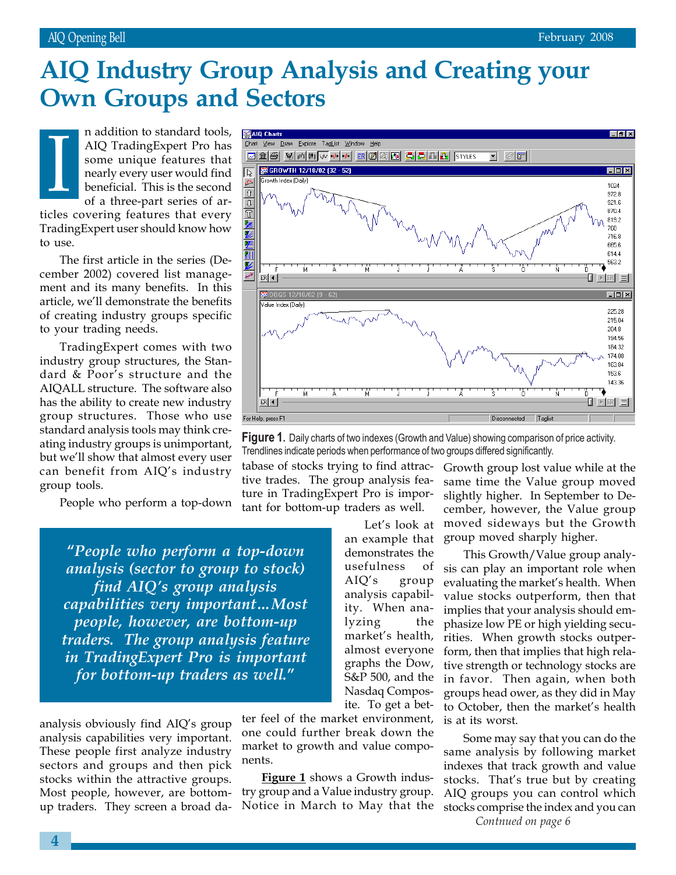# **Own Groups and Sectors AIQ Industry Group Analysis and Creating your**

n addition to standard tools, AIQ TradingExpert Pro has some unique features that nearly every user would find beneficial. This is the second of a three-part series of articles covering features that every TradingExpert user should know how to use. I

The first article in the series (December 2002) covered list management and its many benefits. In this article, we'll demonstrate the benefits of creating industry groups specific to your trading needs.

TradingExpert comes with two industry group structures, the Standard & Poor's structure and the AIQALL structure. The software also has the ability to create new industry group structures. Those who use standard analysis tools may think creating industry groups is unimportant, but we'll show that almost every user can benefit from AIQ's industry group tools.

People who perform a top-down

**"***People who perform a top-down analysis (sector to group to stock) find AIQ's group analysis capabilities very important…Most people, however, are bottom-up traders. The group analysis feature in TradingExpert Pro is important for bottom-up traders as well.***"**

analysis obviously find AIQ's group analysis capabilities very important. These people first analyze industry sectors and groups and then pick stocks within the attractive groups. Most people, however, are bottomup traders. They screen a broad da-

ter feel of the market environment, one could further break down the market to growth and value components.

**Figure 1** shows a Growth industry group and a Value industry group. Notice in March to May that the



**Figure 1.** Daily charts of two indexes (Growth and Value) showing comparison of price activity. Trendlines indicate periods when performance of two groups differed significantly.

tabase of stocks trying to find attractive trades. The group analysis feature in TradingExpert Pro is important for bottom-up traders as well.

> Let's look at an example that demonstrates the usefulness of AIQ's group analysis capability. When analyzing the market's health, almost everyone graphs the Dow, S&P 500, and the Nasdaq Composite. To get a bet

Growth group lost value while at the same time the Value group moved slightly higher. In September to December, however, the Value group moved sideways but the Growth group moved sharply higher.

This Growth/Value group analysis can play an important role when evaluating the market's health. When value stocks outperform, then that implies that your analysis should emphasize low PE or high yielding securities. When growth stocks outperform, then that implies that high relative strength or technology stocks are in favor. Then again, when both groups head ower, as they did in May to October, then the market's health is at its worst.

Some may say that you can do the same analysis by following market indexes that track growth and value stocks. That's true but by creating AIQ groups you can control which stocks comprise the index and you can *Contnued on page 6*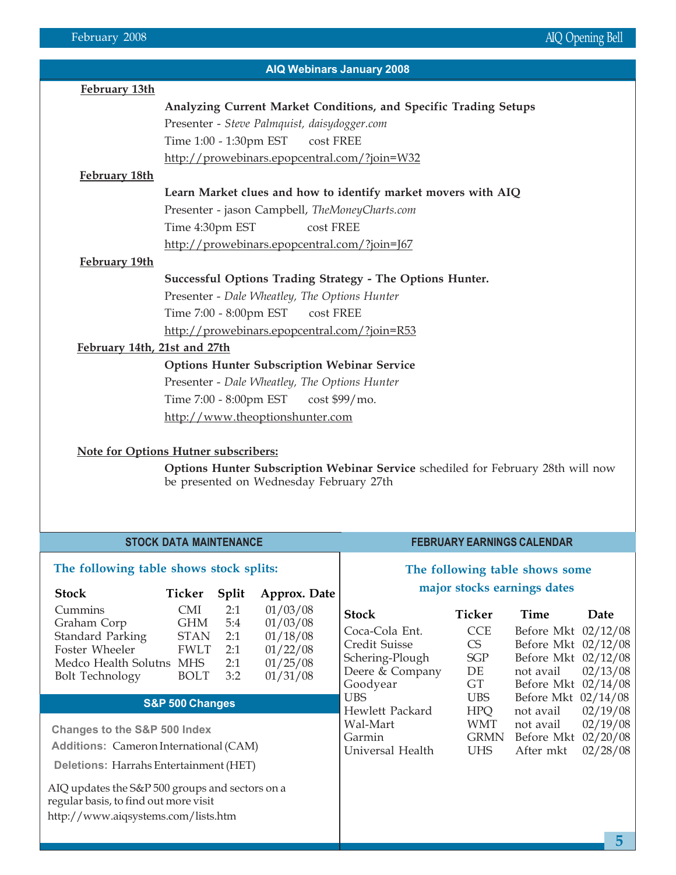| February 13th<br>Analyzing Current Market Conditions, and Specific Trading Setups<br>Presenter - Steve Palmquist, daisydogger.com<br>Time 1:00 - 1:30pm EST<br>cost FREE<br>http://prowebinars.epopcentral.com/?join=W32<br>February 18th<br>Learn Market clues and how to identify market movers with AIQ<br>Presenter - jason Campbell, TheMoneyCharts.com<br>Time 4:30pm EST<br>cost FREE<br>http://prowebinars.epopcentral.com/?join=J67<br>February 19th<br>Successful Options Trading Strategy - The Options Hunter.<br>Presenter - Dale Wheatley, The Options Hunter<br>Time 7:00 - 8:00pm EST<br>cost FREE<br>http://prowebinars.epopcentral.com/?join=R53<br>February 14th, 21st and 27th<br><b>Options Hunter Subscription Webinar Service</b><br>Presenter - Dale Wheatley, The Options Hunter<br>Time 7:00 - 8:00pm EST cost \$99/mo.<br>http://www.theoptionshunter.com | <b>AIQ Webinars January 2008</b> |  |  |  |  |  |  |  |  |
|--------------------------------------------------------------------------------------------------------------------------------------------------------------------------------------------------------------------------------------------------------------------------------------------------------------------------------------------------------------------------------------------------------------------------------------------------------------------------------------------------------------------------------------------------------------------------------------------------------------------------------------------------------------------------------------------------------------------------------------------------------------------------------------------------------------------------------------------------------------------------------------|----------------------------------|--|--|--|--|--|--|--|--|
|                                                                                                                                                                                                                                                                                                                                                                                                                                                                                                                                                                                                                                                                                                                                                                                                                                                                                      |                                  |  |  |  |  |  |  |  |  |
|                                                                                                                                                                                                                                                                                                                                                                                                                                                                                                                                                                                                                                                                                                                                                                                                                                                                                      |                                  |  |  |  |  |  |  |  |  |
|                                                                                                                                                                                                                                                                                                                                                                                                                                                                                                                                                                                                                                                                                                                                                                                                                                                                                      |                                  |  |  |  |  |  |  |  |  |
|                                                                                                                                                                                                                                                                                                                                                                                                                                                                                                                                                                                                                                                                                                                                                                                                                                                                                      |                                  |  |  |  |  |  |  |  |  |
|                                                                                                                                                                                                                                                                                                                                                                                                                                                                                                                                                                                                                                                                                                                                                                                                                                                                                      |                                  |  |  |  |  |  |  |  |  |
|                                                                                                                                                                                                                                                                                                                                                                                                                                                                                                                                                                                                                                                                                                                                                                                                                                                                                      |                                  |  |  |  |  |  |  |  |  |
|                                                                                                                                                                                                                                                                                                                                                                                                                                                                                                                                                                                                                                                                                                                                                                                                                                                                                      |                                  |  |  |  |  |  |  |  |  |
|                                                                                                                                                                                                                                                                                                                                                                                                                                                                                                                                                                                                                                                                                                                                                                                                                                                                                      |                                  |  |  |  |  |  |  |  |  |
|                                                                                                                                                                                                                                                                                                                                                                                                                                                                                                                                                                                                                                                                                                                                                                                                                                                                                      |                                  |  |  |  |  |  |  |  |  |
|                                                                                                                                                                                                                                                                                                                                                                                                                                                                                                                                                                                                                                                                                                                                                                                                                                                                                      |                                  |  |  |  |  |  |  |  |  |
|                                                                                                                                                                                                                                                                                                                                                                                                                                                                                                                                                                                                                                                                                                                                                                                                                                                                                      |                                  |  |  |  |  |  |  |  |  |
|                                                                                                                                                                                                                                                                                                                                                                                                                                                                                                                                                                                                                                                                                                                                                                                                                                                                                      |                                  |  |  |  |  |  |  |  |  |
|                                                                                                                                                                                                                                                                                                                                                                                                                                                                                                                                                                                                                                                                                                                                                                                                                                                                                      |                                  |  |  |  |  |  |  |  |  |
|                                                                                                                                                                                                                                                                                                                                                                                                                                                                                                                                                                                                                                                                                                                                                                                                                                                                                      |                                  |  |  |  |  |  |  |  |  |
|                                                                                                                                                                                                                                                                                                                                                                                                                                                                                                                                                                                                                                                                                                                                                                                                                                                                                      |                                  |  |  |  |  |  |  |  |  |
|                                                                                                                                                                                                                                                                                                                                                                                                                                                                                                                                                                                                                                                                                                                                                                                                                                                                                      |                                  |  |  |  |  |  |  |  |  |
|                                                                                                                                                                                                                                                                                                                                                                                                                                                                                                                                                                                                                                                                                                                                                                                                                                                                                      |                                  |  |  |  |  |  |  |  |  |
|                                                                                                                                                                                                                                                                                                                                                                                                                                                                                                                                                                                                                                                                                                                                                                                                                                                                                      |                                  |  |  |  |  |  |  |  |  |
|                                                                                                                                                                                                                                                                                                                                                                                                                                                                                                                                                                                                                                                                                                                                                                                                                                                                                      |                                  |  |  |  |  |  |  |  |  |
|                                                                                                                                                                                                                                                                                                                                                                                                                                                                                                                                                                                                                                                                                                                                                                                                                                                                                      |                                  |  |  |  |  |  |  |  |  |
|                                                                                                                                                                                                                                                                                                                                                                                                                                                                                                                                                                                                                                                                                                                                                                                                                                                                                      |                                  |  |  |  |  |  |  |  |  |

### **Note for Options Hutner subscribers:**

**Options Hunter Subscription Webinar Service** schediled for February 28th will now be presented on Wednesday February 27th

| <b>STOCK DATA MAINTENANCE</b>                                                                                                      |                                                                                     |                                        |                                                                      | <b>FEBRUARY EARNINGS CALENDAR</b>                                                                        |                                                             |                                                                                                               |                      |
|------------------------------------------------------------------------------------------------------------------------------------|-------------------------------------------------------------------------------------|----------------------------------------|----------------------------------------------------------------------|----------------------------------------------------------------------------------------------------------|-------------------------------------------------------------|---------------------------------------------------------------------------------------------------------------|----------------------|
| The following table shows stock splits:<br><b>Stock</b><br>Ticker<br><b>Split</b><br>Approx. Date                                  |                                                                                     |                                        |                                                                      | The following table shows some<br>major stocks earnings dates                                            |                                                             |                                                                                                               |                      |
| Cummins<br>Graham Corp<br><b>Standard Parking</b><br>Foster Wheeler<br>Medco Health Solutns<br><b>Bolt Technology</b>              | <b>CMI</b><br><b>GHM</b><br><b>STAN</b><br><b>FWLT</b><br><b>MHS</b><br><b>BOLT</b> | 2:1<br>5:4<br>2:1<br>2:1<br>2:1<br>3:2 | 01/03/08<br>01/03/08<br>01/18/08<br>01/22/08<br>01/25/08<br>01/31/08 | <b>Stock</b><br>Coca-Cola Ent.<br><b>Credit Suisse</b><br>Schering-Plough<br>Deere & Company<br>Goodyear | Ticker<br><b>CCE</b><br>CS<br><b>SGP</b><br>DE<br><b>GT</b> | Time<br>Before Mkt 02/12/08<br>Before Mkt 02/12/08<br>Before Mkt 02/12/08<br>not avail<br>Before Mkt 02/14/08 | Date<br>02/13/08     |
| S&P 500 Changes                                                                                                                    |                                                                                     |                                        |                                                                      | <b>UBS</b><br>Hewlett Packard<br>Wal-Mart                                                                | UBS<br><b>HPQ</b><br><b>WMT</b>                             | Before Mkt 02/14/08<br>not avail<br>not avail                                                                 | 02/19/08<br>02/19/08 |
| <b>Changes to the S&amp;P 500 Index</b><br><b>Additions: Cameron International (CAM)</b><br>Deletions: Harrahs Entertainment (HET) |                                                                                     |                                        | Garmin<br>Universal Health                                           | <b>GRMN</b><br><b>UHS</b>                                                                                | Before Mkt 02/20/08<br>After mkt                            | 02/28/08                                                                                                      |                      |
| AIQ updates the S&P 500 groups and sectors on a<br>regular basis, to find out more visit<br>http://www.aiqsystems.com/lists.htm    |                                                                                     |                                        |                                                                      |                                                                                                          |                                                             |                                                                                                               |                      |
|                                                                                                                                    |                                                                                     |                                        |                                                                      |                                                                                                          |                                                             |                                                                                                               | 5                    |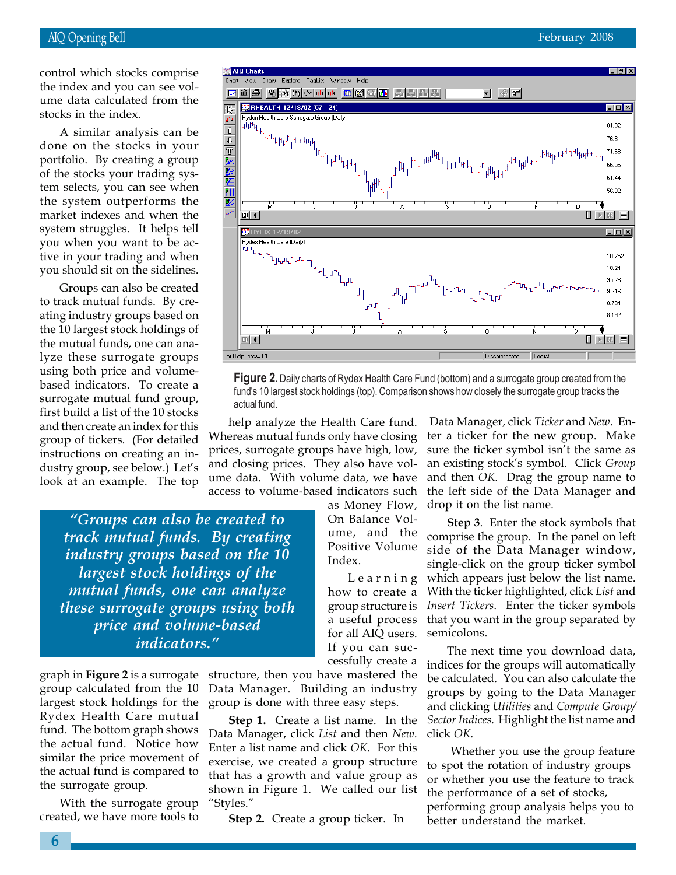ume data calculated from<br>stocks in the index. control which stocks comprise the index and you can see volume data calculated from the

A similar analysis can be done on the stocks in your portfolio. By creating a group of the stocks your trading system selects, you can see when the system outperforms the market indexes and when the system struggles. It helps tell you when you want to be active in your trading and when you should sit on the sidelines.

Groups can also be created to track mutual funds. By creating industry groups based on the 10 largest stock holdings of the mutual funds, one can analyze these surrogate groups using both price and volumebased indicators. To create a surrogate mutual fund group, first build a list of the 10 stocks and then create an index for this group of tickers. (For detailed instructions on creating an industry group, see below.) Let's look at an example. The top



**Figure 2.** Daily charts of Rydex Health Care Fund (bottom) and a surrogate group created from the fund's 10 largest stock holdings (top). Comparison shows how closely the surrogate group tracks the actual fund.

help analyze the Health Care fund. Whereas mutual funds only have closing prices, surrogate groups have high, low, and closing prices. They also have volume data. With volume data, we have access to volume-based indicators such

> as Money Flow, On Balance Volume, and the Positive Volume Index.

Learning how to create a group structure is a useful process for all AIQ users. If you can successfully create a

*"Groups can also be created to track mutual funds. By creating industry groups based on the 10 largest stock holdings of the mutual funds, one can analyze these surrogate groups using both price and volume-based indicators."*

graph in **Figure 2** is a surrogate group calculated from the 10 largest stock holdings for the Rydex Health Care mutual fund. The bottom graph shows the actual fund. Notice how similar the price movement of the actual fund is compared to the surrogate group.

With the surrogate group created, we have more tools to structure, then you have mastered the Data Manager. Building an industry group is done with three easy steps.

**Step 1.** Create a list name. In the Data Manager, click *List* and then *New*. Enter a list name and click *OK*. For this exercise, we created a group structure that has a growth and value group as shown in Figure 1. We called our list "Styles."

**Step 2.** Create a group ticker. In

 Data Manager, click *Ticker* and *New*. Enter a ticker for the new group. Make sure the ticker symbol isn't the same as an existing stock's symbol. Click *Group* and then *OK*. Drag the group name to the left side of the Data Manager and drop it on the list name.

**Step 3**. Enter the stock symbols that comprise the group. In the panel on left side of the Data Manager window, single-click on the group ticker symbol which appears just below the list name. With the ticker highlighted, click *List* and *Insert Tickers*. Enter the ticker symbols that you want in the group separated by semicolons.

The next time you download data, indices for the groups will automatically be calculated. You can also calculate the groups by going to the Data Manager and clicking *Utilities* and *Compute Group/ Sector Indices*. Highlight the list name and click *OK*.

 Whether you use the group feature to spot the rotation of industry groups or whether you use the feature to track the performance of a set of stocks, performing group analysis helps you to better understand the market.